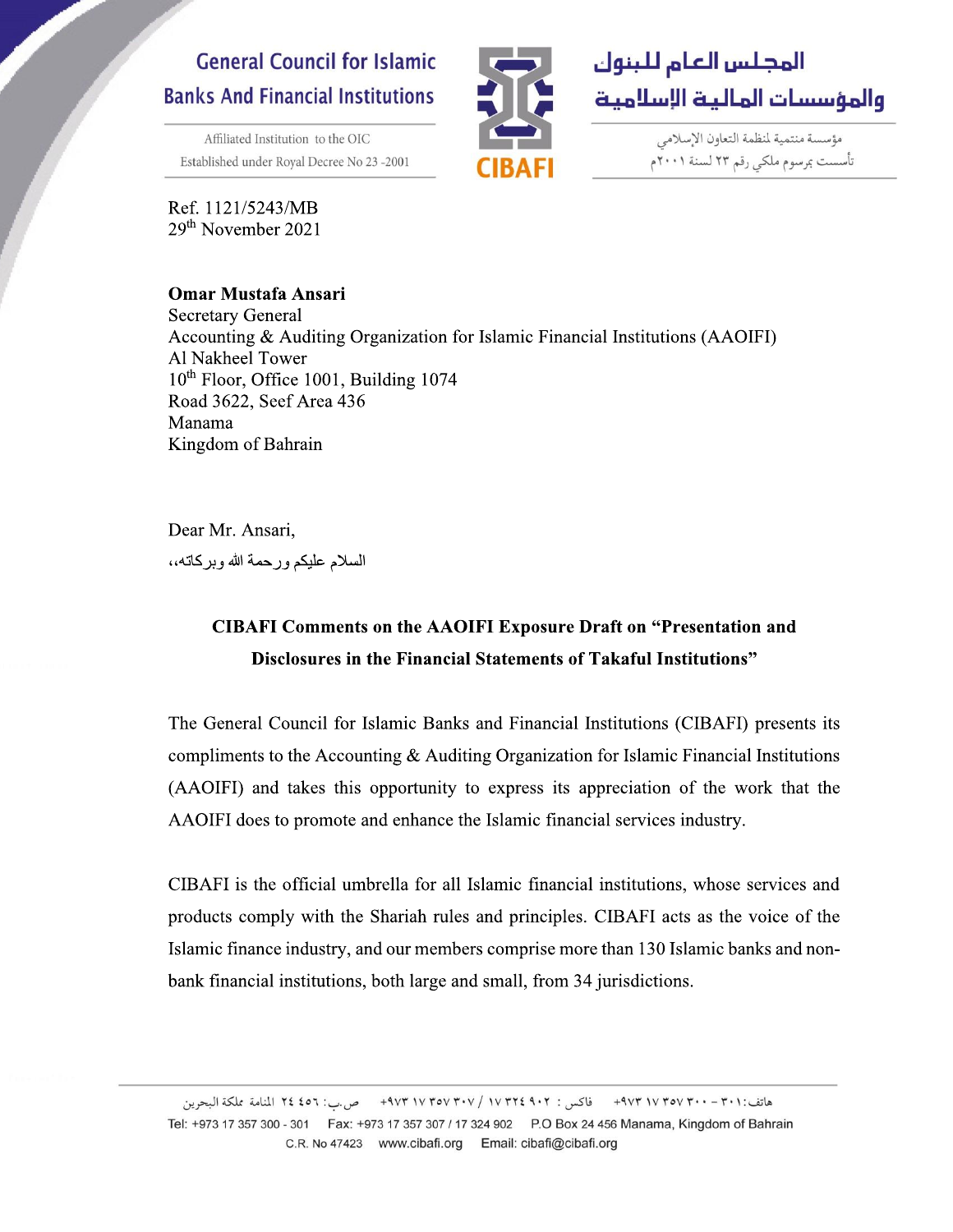## **General Council for Islamic Banks And Financial Institutions**

Affiliated Institution to the OIC Established under Royal Decree No 23-2001

Ref. 1121/5243/MB 29<sup>th</sup> November 2021

## **Omar Mustafa Ansari**



مؤسسة منتمية لمنظمة التعاون الإسلامي تأسست بمرسوم ملكى رقم ٢٣ لسنة ٢٠٠١م

**Secretary General** Accounting & Auditing Organization for Islamic Financial Institutions (AAOIFI) Al Nakheel Tower 10<sup>th</sup> Floor, Office 1001, Building 1074 Road 3622, Seef Area 436 Manama Kingdom of Bahrain

Dear Mr. Ansari,

السلام عليكم ورحمة الله وبركاته،،

## **CIBAFI Comments on the AAOIFI Exposure Draft on "Presentation and** Disclosures in the Financial Statements of Takaful Institutions"

The General Council for Islamic Banks and Financial Institutions (CIBAFI) presents its compliments to the Accounting  $\&$  Auditing Organization for Islamic Financial Institutions (AAOIFI) and takes this opportunity to express its appreciation of the work that the AAOIFI does to promote and enhance the Islamic financial services industry.

CIBAFI is the official umbrella for all Islamic financial institutions, whose services and products comply with the Shariah rules and principles. CIBAFI acts as the voice of the Islamic finance industry, and our members comprise more than 130 Islamic banks and nonbank financial institutions, both large and small, from 34 jurisdictions.

هاتف:٣٠١ - ٢٠٠٠ ٣٥٧ ٩٧٣ - ٩٧٣ - ظاكس : ٩٠٢ ٤٩٠٢ / ٢٠٧٧ ٣٥٧ ٣٩٧٣ - ص.ب: ٢٤ ١٤٥ المنامة مملكة البحرين Tel: +973 17 357 300 - 301 Fax: +973 17 357 307 / 17 324 902 P.O Box 24 456 Manama, Kingdom of Bahrain C.R. No 47423 www.cibafi.org Email: cibafi@cibafi.org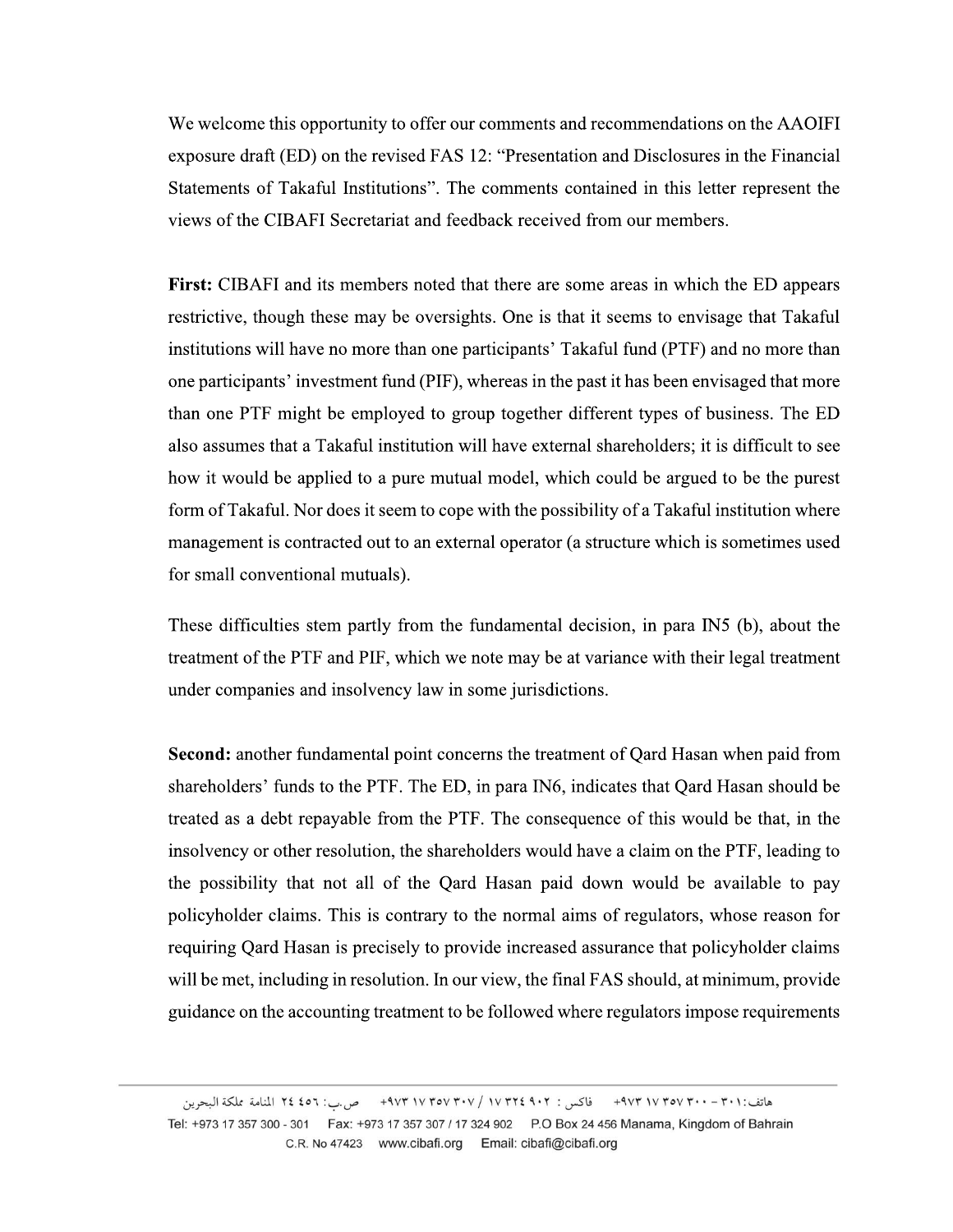We welcome this opportunity to offer our comments and recommendations on the AAOIFI exposure draft (ED) on the revised FAS 12: "Presentation and Disclosures in the Financial Statements of Takaful Institutions". The comments contained in this letter represent the views of the CIBAFI Secretariat and feedback received from our members.

**First:** CIBAFI and its members noted that there are some areas in which the ED appears restrictive, though these may be oversights. One is that it seems to envisage that Takaful institutions will have no more than one participants' Takaful fund (PTF) and no more than one participants' investment fund (PIF), whereas in the past it has been envisaged that more than one PTF might be employed to group together different types of business. The ED also assumes that a Takaful institution will have external shareholders; it is difficult to see how it would be applied to a pure mutual model, which could be argued to be the purest form of Takaful. Nor does it seem to cope with the possibility of a Takaful institution where management is contracted out to an external operator (a structure which is sometimes used for small conventional mutuals).

These difficulties stem partly from the fundamental decision, in para IN5 (b), about the treatment of the PTF and PIF, which we note may be at variance with their legal treatment under companies and insolvency law in some jurisdictions.

Second: another fundamental point concerns the treatment of Qard Hasan when paid from shareholders' funds to the PTF. The ED, in para IN6, indicates that Qard Hasan should be treated as a debt repayable from the PTF. The consequence of this would be that, in the insolvency or other resolution, the shareholders would have a claim on the PTF, leading to the possibility that not all of the Qard Hasan paid down would be available to pay policyholder claims. This is contrary to the normal aims of regulators, whose reason for requiring Qard Hasan is precisely to provide increased assurance that policyholder claims will be met, including in resolution. In our view, the final FAS should, at minimum, provide guidance on the accounting treatment to be followed where regulators impose requirements

هاتف:٣٠١ - ٢٠٠٠ ٣٥٧ ٩٧٣ - ٩٧٣ - ظاكس : ٩٠٢ ٤٩٠٢ / ٢٠٧٧ ٣٥٧ ٣٩٧٣ - ص.ب: ٢٤ ١٤٥ المنامة مملكة البحرين Tel: +973 17 357 300 - 301 Fax: +973 17 357 307 / 17 324 902 P.O Box 24 456 Manama, Kingdom of Bahrain C.R. No 47423 www.cibafi.org Email: cibafi@cibafi.org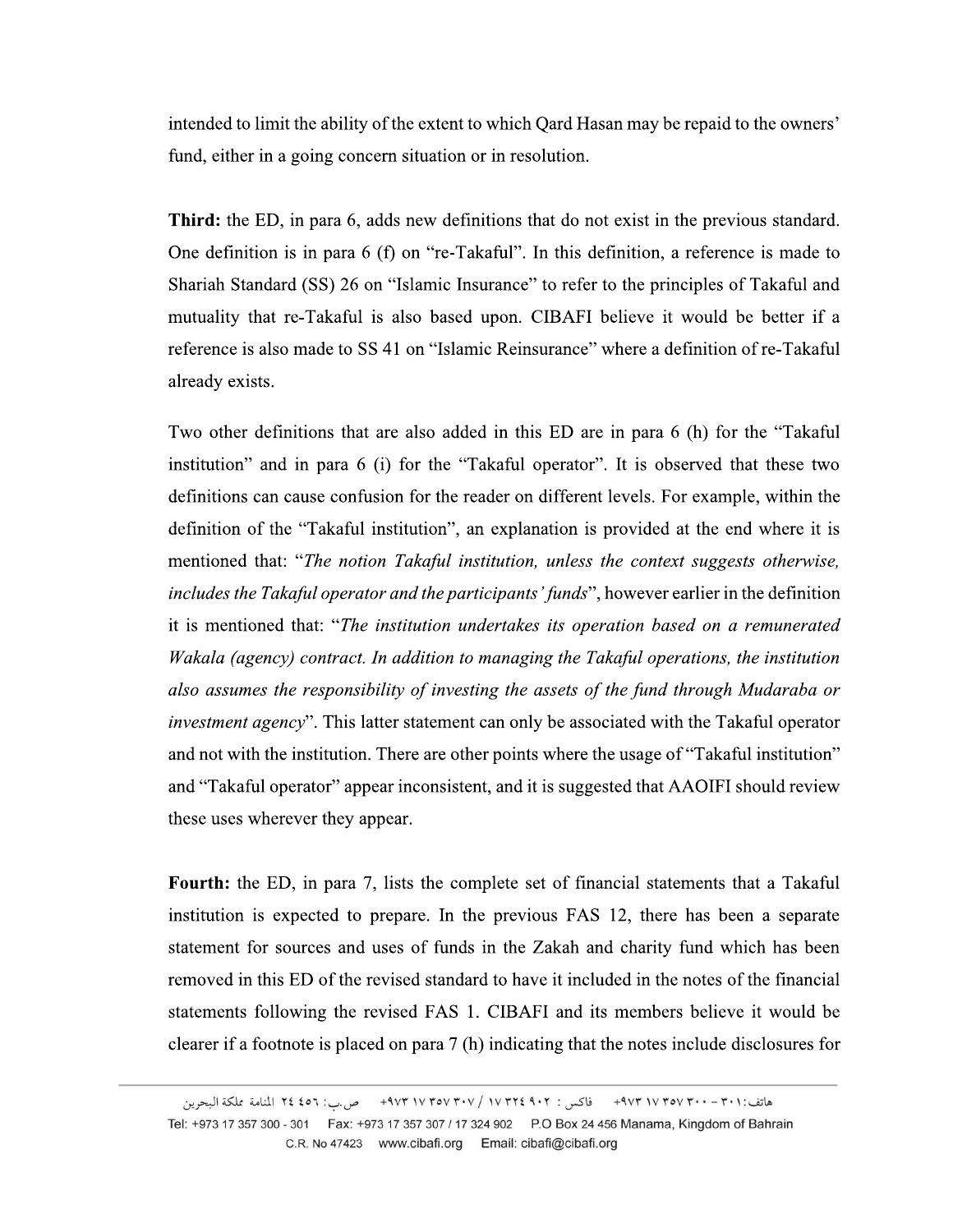intended to limit the ability of the extent to which Qard Hasan may be repaid to the owners' fund, either in a going concern situation or in resolution.

**Third:** the ED, in para 6, adds new definitions that do not exist in the previous standard. One definition is in para 6 (f) on "re-Takaful". In this definition, a reference is made to Shariah Standard (SS) 26 on "Islamic Insurance" to refer to the principles of Takaful and mutuality that re-Takaful is also based upon. CIBAFI believe it would be better if a reference is also made to SS 41 on "Islamic Reinsurance" where a definition of re-Takaful already exists.

Two other definitions that are also added in this ED are in para 6 (h) for the "Takaful institution" and in para 6 (i) for the "Takaful operator". It is observed that these two definitions can cause confusion for the reader on different levels. For example, within the definition of the "Takaful institution", an explanation is provided at the end where it is mentioned that: "The notion Takaful institution, unless the context suggests otherwise, includes the Takaful operator and the participants' funds", however earlier in the definition it is mentioned that: "The institution undertakes its operation based on a remunerated Wakala (agency) contract. In addition to managing the Takaful operations, the institution also assumes the responsibility of investing the assets of the fund through Mudaraba or *investment agency*". This latter statement can only be associated with the Takaful operator and not with the institution. There are other points where the usage of "Takaful institution" and "Takaful operator" appear inconsistent, and it is suggested that AAOIFI should review these uses wherever they appear.

**Fourth:** the ED, in para 7, lists the complete set of financial statements that a Takaful institution is expected to prepare. In the previous FAS 12, there has been a separate statement for sources and uses of funds in the Zakah and charity fund which has been removed in this ED of the revised standard to have it included in the notes of the financial statements following the revised FAS 1. CIBAFI and its members believe it would be clearer if a footnote is placed on para 7 (h) indicating that the notes include disclosures for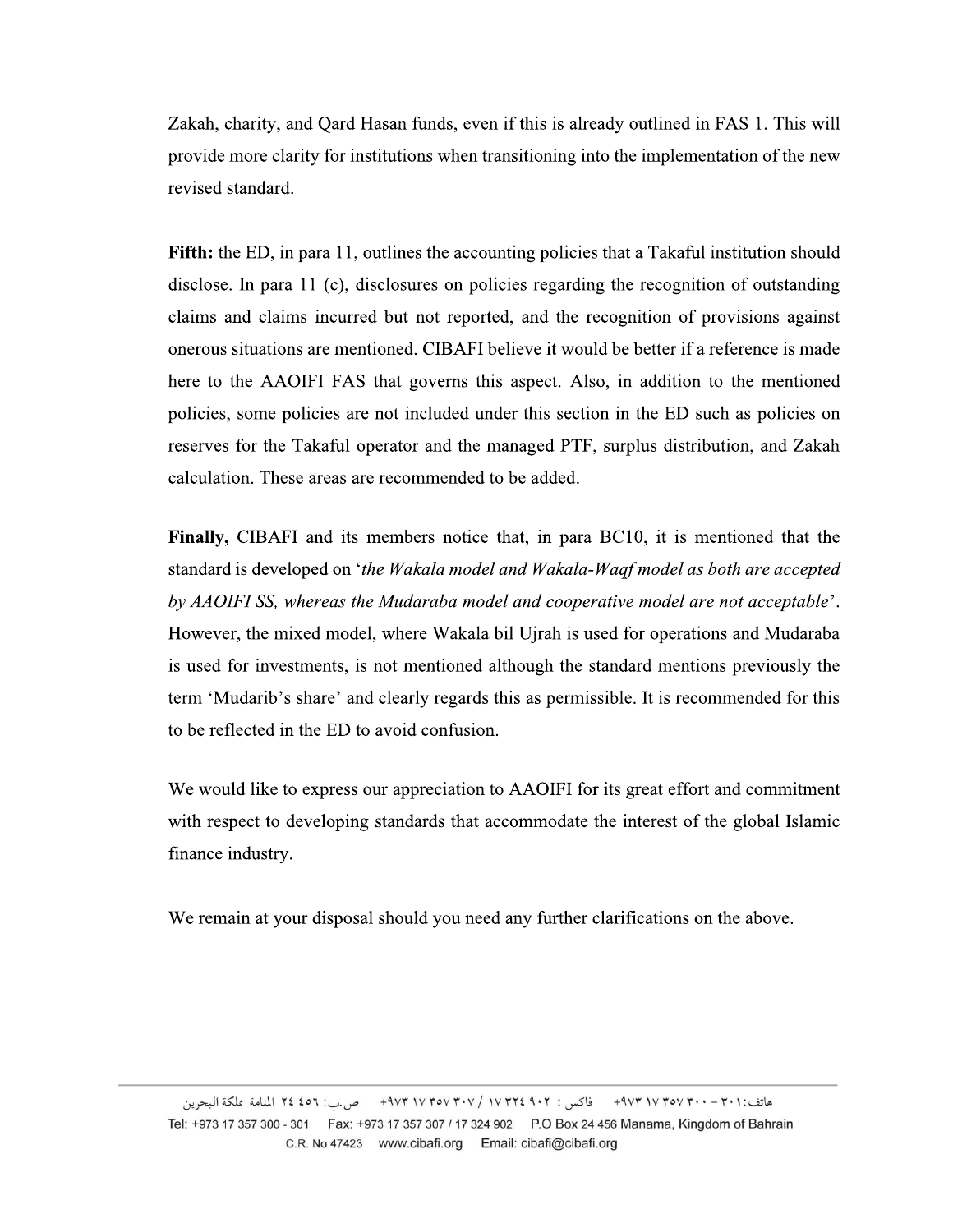Zakah, charity, and Qard Hasan funds, even if this is already outlined in FAS 1. This will provide more clarity for institutions when transitioning into the implementation of the new revised standard.

**Fifth:** the ED, in para 11, outlines the accounting policies that a Takaful institution should disclose. In para 11 (c), disclosures on policies regarding the recognition of outstanding claims and claims incurred but not reported, and the recognition of provisions against onerous situations are mentioned. CIBAFI believe it would be better if a reference is made here to the AAOIFI FAS that governs this aspect. Also, in addition to the mentioned policies, some policies are not included under this section in the ED such as policies on reserves for the Takaful operator and the managed PTF, surplus distribution, and Zakah calculation. These areas are recommended to be added.

**Finally, CIBAFI** and its members notice that, in para BC10, it is mentioned that the standard is developed on 'the Wakala model and Wakala-Waqf model as both are accepted by AAOIFI SS, whereas the Mudaraba model and cooperative model are not acceptable'. However, the mixed model, where Wakala bil Ujrah is used for operations and Mudaraba is used for investments, is not mentioned although the standard mentions previously the term 'Mudarib's share' and clearly regards this as permissible. It is recommended for this to be reflected in the ED to avoid confusion.

We would like to express our appreciation to AAOIFI for its great effort and commitment with respect to developing standards that accommodate the interest of the global Islamic finance industry.

We remain at your disposal should you need any further clarifications on the above.